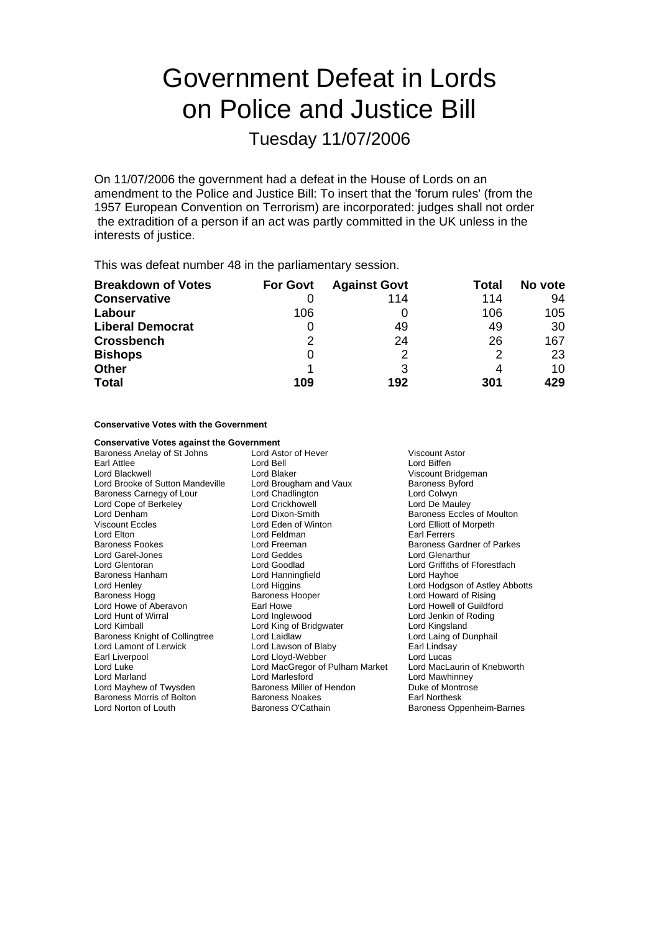# Government Defeat in Lords on Police and Justice Bill

Tuesday 11/07/2006

On 11/07/2006 the government had a defeat in the House of Lords on an amendment to the Police and Justice Bill: To insert that the 'forum rules' (from the 1957 European Convention on Terrorism) are incorporated: judges shall not order the extradition of a person if an act was partly committed in the UK unless in the interests of justice.

This was defeat number 48 in the parliamentary session.

| <b>Breakdown of Votes</b> | <b>For Govt</b> | <b>Against Govt</b> | Total | No vote |
|---------------------------|-----------------|---------------------|-------|---------|
| <b>Conservative</b>       |                 | 114                 | 114   | 94      |
| Labour                    | 106             |                     | 106   | 105     |
| <b>Liberal Democrat</b>   | 0               | 49                  | 49    | 30      |
| <b>Crossbench</b>         | 2               | 24                  | 26    | 167     |
| <b>Bishops</b>            | 0               | 2                   | 2     | 23      |
| <b>Other</b>              |                 |                     | 4     | 10      |
| <b>Total</b>              | 109             | 192                 | 301   | 429     |

#### **Conservative Votes with the Government**

| <b>Conservative Votes against the Government</b> |                                       |                                |
|--------------------------------------------------|---------------------------------------|--------------------------------|
| Baroness Anelay of St Johns                      | Lord Astor of Hever<br>Viscount Astor |                                |
| Earl Attlee                                      | Lord Bell                             | Lord Biffen                    |
| Lord Blackwell                                   | Lord Blaker                           | Viscount Bridgeman             |
| Lord Brooke of Sutton Mandeville                 | Lord Brougham and Vaux                | <b>Baroness Byford</b>         |
| Baroness Carnegy of Lour                         | Lord Chadlington                      | Lord Colwyn                    |
| Lord Cope of Berkeley                            | Lord Crickhowell                      | Lord De Mauley                 |
| Lord Denham                                      | Lord Dixon-Smith                      | Baroness Eccles of Moulton     |
| <b>Viscount Eccles</b>                           | Lord Eden of Winton                   | Lord Elliott of Morpeth        |
| Lord Elton                                       | Lord Feldman                          | <b>Farl Ferrers</b>            |
| Baroness Fookes                                  | Lord Freeman                          | Baroness Gardner of Parkes     |
| Lord Garel-Jones                                 | Lord Geddes                           | <b>Lord Glenarthur</b>         |
| Lord Glentoran                                   | Lord Goodlad                          | Lord Griffiths of Fforestfach  |
| Baroness Hanham                                  | Lord Hanningfield                     | Lord Hayhoe                    |
| Lord Henley                                      | Lord Higgins                          | Lord Hodgson of Astley Abbotts |
| Baroness Hogg                                    | Baroness Hooper                       | Lord Howard of Rising          |
| Lord Howe of Aberavon                            | Earl Howe                             | Lord Howell of Guildford       |
| Lord Hunt of Wirral                              | Lord Inglewood                        | Lord Jenkin of Roding          |
| Lord Kimball                                     | Lord King of Bridgwater               | Lord Kingsland                 |
| Baroness Knight of Collingtree                   | Lord Laidlaw                          | Lord Laing of Dunphail         |
| Lord Lamont of Lerwick                           | Lord Lawson of Blaby                  | Earl Lindsay                   |
| Earl Liverpool                                   | Lord Lloyd-Webber                     | Lord Lucas                     |
| Lord Luke                                        | Lord MacGregor of Pulham Market       | Lord MacLaurin of Knebworth    |
| Lord Marland                                     | Lord Marlesford                       | Lord Mawhinney                 |
| Lord Mayhew of Twysden                           | Baroness Miller of Hendon             | Duke of Montrose               |
| Baroness Morris of Bolton                        | <b>Baroness Noakes</b>                | Earl Northesk                  |
| Lord Norton of Louth                             | Baroness O'Cathain                    | Baroness Oppenheim-Barnes      |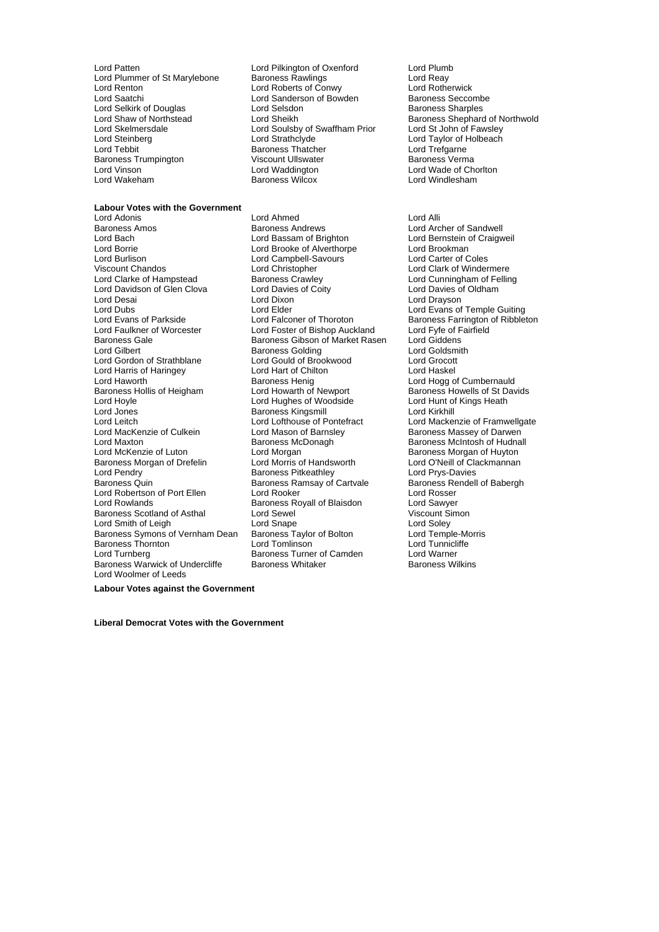Lord Patten **Lord Pilkington of Oxenford** Lord Plumb<br>
Lord Plummer of St Marylebone Baroness Rawlings **Lord Reay** Lord Plummer of St Marylebone Baroness Rawlings National Cord Reay<br>Lord Renton Lord Roberts of Conwy Lord Rotherwick Lord Renton Lord Roberts of Conwy Lord Rotherwick Lord Selkirk of Douglas Lord Selsdon<br>Lord Shaw of Northstead Lord Sheikh Lord Skelmersdale<br>
Lord Stelmersdale<br>
Lord Strathclyde<br>
Lord Strathclyde<br>
Lord Strathclyde Lord Steinberg Lord Strathclyde Lord Taylor of Holbeach Baroness Trumpington Viscount Ullswate<br>1 ord Vinson Verman Baroness Lord Waddington

### **Labour Votes with the Government**

Lord Bach Lord Bassam of Brighton Lord Bernstein of Craigweil Lord Borrie Lord Brooke of Alverthorpe Lord Brookman Viscount Chandos Lord Christopher Lord Clark of Windermere Lord Clarke of Hampstead Baroness Crawley Baroness Crawley Lord Cunningham of Felling<br>
Lord Davidson of Glen Clova Lord Davies of Coity Lord Davies of Oldham Lord Davidson of Glen Clova Lord Davies<br>Lord Desai **Lord Davidson** Lord Dubs<br>
Lord Evans of Parkside Lord Elder Lord Enterprise Lord Evans of Temple Guiting<br>
Lord Evans of Parkside Lord Falconer of Thoroton Baroness Farrington of Ribble Lord Evans of Parkside Lord Falconer of Thoroton Baroness Farrington of Ribbleton <br>Lord Faulkner of Worcester Lord Foster of Bishop Auckla Lord Faulkner of Worcester **Frault Accept Lord Foster of Bishop Auckland** Lord Fyfe of F<br>Baroness Gale **Baroness Gibson of Market Rasen** Lord Giddens Lord Gilbert **Baroness Golding** Lord Goldsmith<br>
Lord Gordon of Strathblane Lord Gould of Brookwood Lord Grocott Lord Harris of Haringey Lord Hart of Chil<br>
Lord Haworth **Baroness Henig** Lord Haworth **Baroness Henig** Lord Hogg of Cumbernauld Baroness Hollis of Heigham Lord Howarth of Newport Baroness Howells of St Davids<br>
Lord Howle Lord Hughes of Woodside Lord Hunt of Kings Heath Lord Hoyle **Lord Hunt of Lord Hunt of Lord Hunt of Allian** Lord Hunt of Lord Hunt of Allian Lord Kings Heather<br>Lord Jones **Heather Corporation Corporation** Corporation Baroness Kings mill Lord Leitch Lord Lord Lofthouse of Pontefract Lord Mackenzie of Framwellgate<br>
Lord MacKenzie of Culkein Lord Mason of Barnsley Baroness Massey of Darwen Lord MacKenzie of Culkein **Lord Mason of Barnsley Corporation** Baroness Massey of Darwen<br>Lord Maxton **Corporation Corporation** Baroness McDonagh Baroness McIntosh of Hudnal Lord Maxton Baroness McDonagh Baroness McIntosh of Hudnall Baroness Morgan of Drefelin Lord Morris of Handsworth Lord O'Neill of Clackmannan<br>Lord Pendry Corporation Baroness Pitkeathley Lord Prys-Davies Lord Pendry Theory Charoness Pitkeathley Corporation Corporation Corporation Corporation Corporation Corporatio<br>Baroness Quin Theory Baroness Ramsay of Cartvale Baroness Rendell of Babergh Lord Robertson of Port Ellen Lord Rooker Lord Rosser<br>
Lord Rowlands Baroness Royall of Blaisdon Lord Sawver Baroness Scotland of Asthal Lord Sewel<br>
Lord Sewel Cord Sonape Cord Soley<br>
Baroness Symons of Vernham Dean Baroness Taylor of Bolton Lord Temple-Morris Lord Smith of Leigh Lord Snape<br>Baroness Symons of Vernham Dean Baroness Taylor of Bolton Baroness Symons of Vernham Dean Baroness Taylor of Bolton Lord Temple-Morris Baroness Thornton Lord Tunnicliffe Baroness Thornton **Example 2** Lord Tomlinson **Lord Tunnicliffering Contract Lord Tunnicliffering**<br>
Lord Turnberg **Contract Contract Contract Contract Contract Contract Contract Lord Warner** Baroness Warwick of Undercliffe Lord Woolmer of Leeds

Lord Sanderson of Bowden Baroness Seccomb<br>
Lord Selsdon Baroness Sharples Baroness Thatcher **Lord Trefgarne**<br>
Viscount Ullswater **Lord Trefgarne**<br>
Baroness Verma Lord Vinson Lord Waddington Lord Wade of Chorlton

Lord Adonis Lord Ahmed Lord Alli Baroness Andrews **Baroness Andrews** Lord Archer of Sandwell<br>
Lord Bassam of Brighton **Lord Bernstein of Craigw** Lord Campbell-Savours Lord Dixon Lord Drayson<br>Lord Elder Lord Evans of Baroness Gibson of Market Rasen Lord Gould of Brookwood Lord Grocott<br>Lord Hart of Chilton Lord Haskel Baroness Kingsmill<br>Lord Lofthouse of Pontefract Lord Morgan **Canadia Corporation Corporation Corporation**<br>
Lord Morris of Handsworth **Corporation Lord O'Neill of Clackmannan** Baroness Ramsay of Cartvale Baroness Royall of Blaisdon **Lord Sawyer**<br>
Lord Sewel **Consult Consult Consult Consult Simon** Express Turner of Camden Lord Warner<br>
Baroness Turner of Camden Lord Warner<br>
Baroness Whitaker Baroness Wilkins

Lord Shaw of Northstead Lord Sheikh Baroness Shephard of Northwold<br>
Lord Skelmersdale Lord Soulsby of Swaffham Prior Lord St John of Fawsley **Lord Windlesham** 

**Labour Votes against the Government**

**Liberal Democrat Votes with the Government**